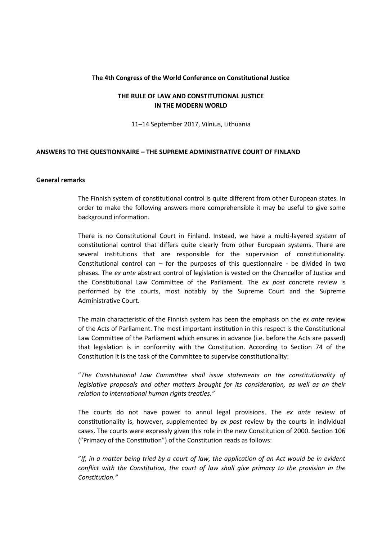## **The 4th Congress of the World Conference on Constitutional Justice**

## **THE RULE OF LAW AND CONSTITUTIONAL JUSTICE IN THE MODERN WORLD**

11–14 September 2017, Vilnius, Lithuania

## **ANSWERS TO THE QUESTIONNAIRE – THE SUPREME ADMINISTRATIVE COURT OF FINLAND**

#### **General remarks**

The Finnish system of constitutional control is quite different from other European states. In order to make the following answers more comprehensible it may be useful to give some background information.

There is no Constitutional Court in Finland. Instead, we have a multi-layered system of constitutional control that differs quite clearly from other European systems. There are several institutions that are responsible for the supervision of constitutionality. Constitutional control can – for the purposes of this questionnaire - be divided in two phases. The *ex ante* abstract control of legislation is vested on the Chancellor of Justice and the Constitutional Law Committee of the Parliament. The *ex post* concrete review is performed by the courts, most notably by the Supreme Court and the Supreme Administrative Court.

The main characteristic of the Finnish system has been the emphasis on the *ex ante* review of the Acts of Parliament. The most important institution in this respect is the Constitutional Law Committee of the Parliament which ensures in advance (i.e. before the Acts are passed) that legislation is in conformity with the Constitution. According to Section 74 of the Constitution it is the task of the Committee to supervise constitutionality:

"*The Constitutional Law Committee shall issue statements on the constitutionality of legislative proposals and other matters brought for its consideration, as well as on their relation to international human rights treaties."*

The courts do not have power to annul legal provisions. The *ex ante* review of constitutionality is, however, supplemented by *ex post* review by the courts in individual cases. The courts were expressly given this role in the new Constitution of 2000. Section 106 ("Primacy of the Constitution") of the Constitution reads as follows:

"*If, in a matter being tried by a court of law, the application of an Act would be in evident conflict with the Constitution, the court of law shall give primacy to the provision in the Constitution."*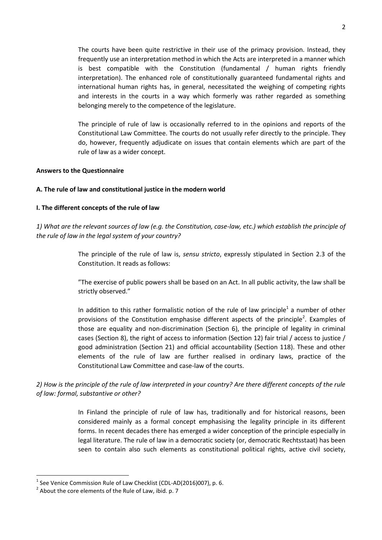The courts have been quite restrictive in their use of the primacy provision. Instead, they frequently use an interpretation method in which the Acts are interpreted in a manner which is best compatible with the Constitution (fundamental / human rights friendly interpretation). The enhanced role of constitutionally guaranteed fundamental rights and international human rights has, in general, necessitated the weighing of competing rights and interests in the courts in a way which formerly was rather regarded as something belonging merely to the competence of the legislature.

The principle of rule of law is occasionally referred to in the opinions and reports of the Constitutional Law Committee. The courts do not usually refer directly to the principle. They do, however, frequently adjudicate on issues that contain elements which are part of the rule of law as a wider concept.

## **Answers to the Questionnaire**

## **A. The rule of law and constitutional justice in the modern world**

## **I. The different concepts of the rule of law**

*1) What are the relevant sources of law (e.g. the Constitution, case-law, etc.) which establish the principle of the rule of law in the legal system of your country?*

> The principle of the rule of law is, *sensu stricto*, expressly stipulated in Section 2.3 of the Constitution. It reads as follows:

> "The exercise of public powers shall be based on an Act. In all public activity, the law shall be strictly observed."

> In addition to this rather formalistic notion of the rule of law principle<sup>1</sup> a number of other provisions of the Constitution emphasise different aspects of the principle<sup>2</sup>. Examples of those are equality and non-discrimination (Section 6), the principle of legality in criminal cases (Section 8), the right of access to information (Section 12) fair trial / access to justice / good administration (Section 21) and official accountability (Section 118). These and other elements of the rule of law are further realised in ordinary laws, practice of the Constitutional Law Committee and case-law of the courts.

*2) How is the principle of the rule of law interpreted in your country? Are there different concepts of the rule of law: formal, substantive or other?*

> In Finland the principle of rule of law has, traditionally and for historical reasons, been considered mainly as a formal concept emphasising the legality principle in its different forms. In recent decades there has emerged a wider conception of the principle especially in legal literature. The rule of law in a democratic society (or, democratic Rechtsstaat) has been seen to contain also such elements as constitutional political rights, active civil society,

1

 $<sup>1</sup>$  See Venice Commission Rule of Law Checklist (CDL-AD(2016)007), p. 6.</sup>

 $2$  About the core elements of the Rule of Law, ibid. p. 7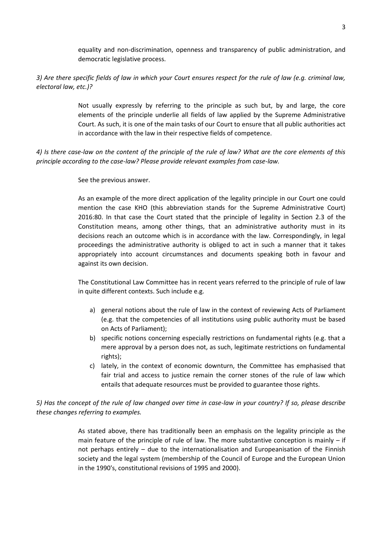equality and non-discrimination, openness and transparency of public administration, and democratic legislative process.

*3) Are there specific fields of law in which your Court ensures respect for the rule of law (e.g. criminal law, electoral law, etc.)?*

> Not usually expressly by referring to the principle as such but, by and large, the core elements of the principle underlie all fields of law applied by the Supreme Administrative Court. As such, it is one of the main tasks of our Court to ensure that all public authorities act in accordance with the law in their respective fields of competence.

*4) Is there case-law on the content of the principle of the rule of law? What are the core elements of this principle according to the case-law? Please provide relevant examples from case-law.*

See the previous answer.

As an example of the more direct application of the legality principle in our Court one could mention the case KHO (this abbreviation stands for the Supreme Administrative Court) 2016:80. In that case the Court stated that the principle of legality in Section 2.3 of the Constitution means, among other things, that an administrative authority must in its decisions reach an outcome which is in accordance with the law. Correspondingly, in legal proceedings the administrative authority is obliged to act in such a manner that it takes appropriately into account circumstances and documents speaking both in favour and against its own decision.

The Constitutional Law Committee has in recent years referred to the principle of rule of law in quite different contexts. Such include e.g.

- a) general notions about the rule of law in the context of reviewing Acts of Parliament (e.g. that the competencies of all institutions using public authority must be based on Acts of Parliament);
- b) specific notions concerning especially restrictions on fundamental rights (e.g. that a mere approval by a person does not, as such, legitimate restrictions on fundamental rights);
- c) lately, in the context of economic downturn, the Committee has emphasised that fair trial and access to justice remain the corner stones of the rule of law which entails that adequate resources must be provided to guarantee those rights.

*5) Has the concept of the rule of law changed over time in case-law in your country? If so, please describe these changes referring to examples.*

> As stated above, there has traditionally been an emphasis on the legality principle as the main feature of the principle of rule of law. The more substantive conception is mainly – if not perhaps entirely – due to the internationalisation and Europeanisation of the Finnish society and the legal system (membership of the Council of Europe and the European Union in the 1990's, constitutional revisions of 1995 and 2000).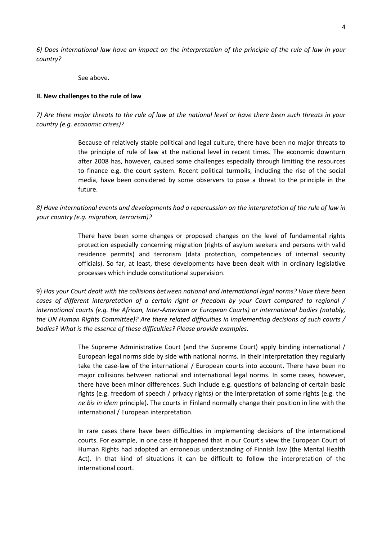*6) Does international law have an impact on the interpretation of the principle of the rule of law in your country?*

See above.

## **II. New challenges to the rule of law**

*7) Are there major threats to the rule of law at the national level or have there been such threats in your country (e.g. economic crises)?*

> Because of relatively stable political and legal culture, there have been no major threats to the principle of rule of law at the national level in recent times. The economic downturn after 2008 has, however, caused some challenges especially through limiting the resources to finance e.g. the court system. Recent political turmoils, including the rise of the social media, have been considered by some observers to pose a threat to the principle in the future.

*8) Have international events and developments had a repercussion on the interpretation of the rule of law in your country (e.g. migration, terrorism)?*

> There have been some changes or proposed changes on the level of fundamental rights protection especially concerning migration (rights of asylum seekers and persons with valid residence permits) and terrorism (data protection, competencies of internal security officials). So far, at least, these developments have been dealt with in ordinary legislative processes which include constitutional supervision.

9) *Has your Court dealt with the collisions between national and international legal norms? Have there been cases of different interpretation of a certain right or freedom by your Court compared to regional / international courts (e.g. the African, Inter-American or European Courts) or international bodies (notably, the UN Human Rights Committee)? Are there related difficulties in implementing decisions of such courts / bodies? What is the essence of these difficulties? Please provide examples.*

> The Supreme Administrative Court (and the Supreme Court) apply binding international / European legal norms side by side with national norms. In their interpretation they regularly take the case-law of the international / European courts into account. There have been no major collisions between national and international legal norms. In some cases, however, there have been minor differences. Such include e.g. questions of balancing of certain basic rights (e.g. freedom of speech / privacy rights) or the interpretation of some rights (e.g. the *ne bis in idem* principle). The courts in Finland normally change their position in line with the international / European interpretation.

> In rare cases there have been difficulties in implementing decisions of the international courts. For example, in one case it happened that in our Court's view the European Court of Human Rights had adopted an erroneous understanding of Finnish law (the Mental Health Act). In that kind of situations it can be difficult to follow the interpretation of the international court.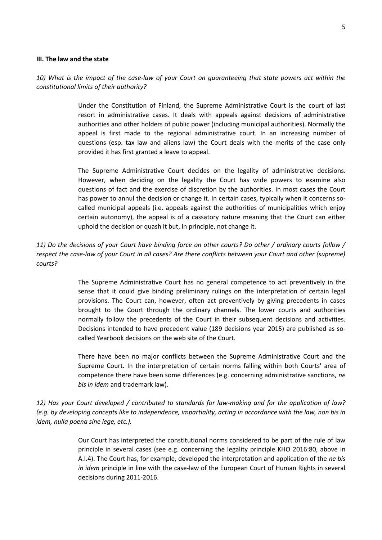#### **III. The law and the state**

*10) What is the impact of the case-law of your Court on guaranteeing that state powers act within the constitutional limits of their authority?*

> Under the Constitution of Finland, the Supreme Administrative Court is the court of last resort in administrative cases. It deals with appeals against decisions of administrative authorities and other holders of public power (including municipal authorities). Normally the appeal is first made to the regional administrative court. In an increasing number of questions (esp. tax law and aliens law) the Court deals with the merits of the case only provided it has first granted a leave to appeal.

> The Supreme Administrative Court decides on the legality of administrative decisions. However, when deciding on the legality the Court has wide powers to examine also questions of fact and the exercise of discretion by the authorities. In most cases the Court has power to annul the decision or change it. In certain cases, typically when it concerns socalled municipal appeals (i.e. appeals against the authorities of municipalities which enjoy certain autonomy), the appeal is of a cassatory nature meaning that the Court can either uphold the decision or quash it but, in principle, not change it.

*11) Do the decisions of your Court have binding force on other courts? Do other / ordinary courts follow / respect the case-law of your Court in all cases? Are there conflicts between your Court and other (supreme) courts?*

> The Supreme Administrative Court has no general competence to act preventively in the sense that it could give binding preliminary rulings on the interpretation of certain legal provisions. The Court can, however, often act preventively by giving precedents in cases brought to the Court through the ordinary channels. The lower courts and authorities normally follow the precedents of the Court in their subsequent decisions and activities. Decisions intended to have precedent value (189 decisions year 2015) are published as socalled Yearbook decisions on the web site of the Court.

> There have been no major conflicts between the Supreme Administrative Court and the Supreme Court. In the interpretation of certain norms falling within both Courts' area of competence there have been some differences (e.g. concerning administrative sanctions, *ne bis in idem* and trademark law).

*12) Has your Court developed / contributed to standards for law-making and for the application of law? (e.g. by developing concepts like to independence, impartiality, acting in accordance with the law, non bis in idem, nulla poena sine lege, etc.).*

> Our Court has interpreted the constitutional norms considered to be part of the rule of law principle in several cases (see e.g. concerning the legality principle KHO 2016:80, above in A.I.4). The Court has, for example, developed the interpretation and application of the *ne bis in idem* principle in line with the case-law of the European Court of Human Rights in several decisions during 2011-2016.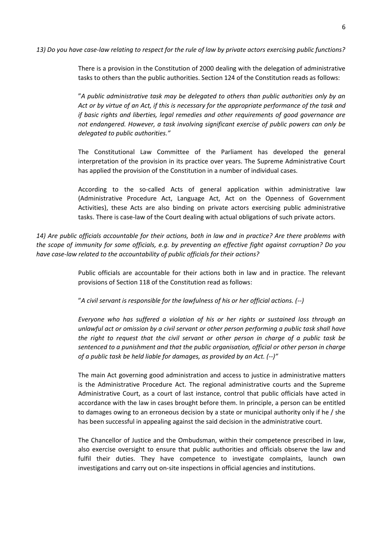There is a provision in the Constitution of 2000 dealing with the delegation of administrative tasks to others than the public authorities. Section 124 of the Constitution reads as follows:

"*A public administrative task may be delegated to others than public authorities only by an Act or by virtue of an Act, if this is necessary for the appropriate performance of the task and if basic rights and liberties, legal remedies and other requirements of good governance are not endangered. However, a task involving significant exercise of public powers can only be delegated to public authorities."*

The Constitutional Law Committee of the Parliament has developed the general interpretation of the provision in its practice over years. The Supreme Administrative Court has applied the provision of the Constitution in a number of individual cases.

According to the so-called Acts of general application within administrative law (Administrative Procedure Act, Language Act, Act on the Openness of Government Activities), these Acts are also binding on private actors exercising public administrative tasks. There is case-law of the Court dealing with actual obligations of such private actors.

*14) Are public officials accountable for their actions, both in law and in practice? Are there problems with the scope of immunity for some officials, e.g. by preventing an effective fight against corruption? Do you have case-law related to the accountability of public officials for their actions?*

> Public officials are accountable for their actions both in law and in practice. The relevant provisions of Section 118 of the Constitution read as follows:

"*A civil servant is responsible for the lawfulness of his or her official actions. (--)*

*Everyone who has suffered a violation of his or her rights or sustained loss through an unlawful act or omission by a civil servant or other person performing a public task shall have the right to request that the civil servant or other person in charge of a public task be sentenced to a punishment and that the public organisation, official or other person in charge of a public task be held liable for damages, as provided by an Act. (--)"*

The main Act governing good administration and access to justice in administrative matters is the Administrative Procedure Act. The regional administrative courts and the Supreme Administrative Court, as a court of last instance, control that public officials have acted in accordance with the law in cases brought before them. In principle, a person can be entitled to damages owing to an erroneous decision by a state or municipal authority only if he / she has been successful in appealing against the said decision in the administrative court.

The Chancellor of Justice and the Ombudsman, within their competence prescribed in law, also exercise oversight to ensure that public authorities and officials observe the law and fulfil their duties. They have competence to investigate complaints, launch own investigations and carry out on-site inspections in official agencies and institutions.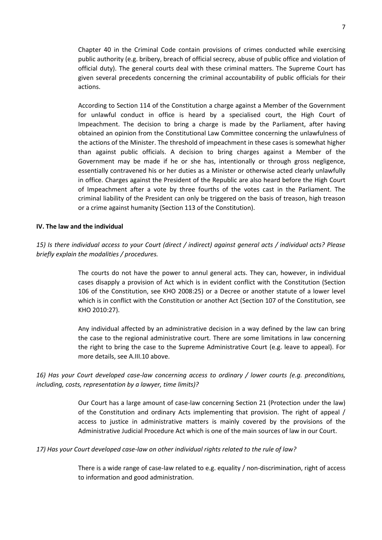Chapter 40 in the Criminal Code contain provisions of crimes conducted while exercising public authority (e.g. bribery, breach of official secrecy, abuse of public office and violation of official duty). The general courts deal with these criminal matters. The Supreme Court has given several precedents concerning the criminal accountability of public officials for their actions.

According to Section 114 of the Constitution a charge against a Member of the Government for unlawful conduct in office is heard by a specialised court, the High Court of Impeachment. The decision to bring a charge is made by the Parliament, after having obtained an opinion from the Constitutional Law Committee concerning the unlawfulness of the actions of the Minister. The threshold of impeachment in these cases is somewhat higher than against public officials. A decision to bring charges against a Member of the Government may be made if he or she has, intentionally or through gross negligence, essentially contravened his or her duties as a Minister or otherwise acted clearly unlawfully in office. Charges against the President of the Republic are also heard before the High Court of Impeachment after a vote by three fourths of the votes cast in the Parliament. The criminal liability of the President can only be triggered on the basis of treason, high treason or a crime against humanity (Section 113 of the Constitution).

## **IV. The law and the individual**

# *15) Is there individual access to your Court (direct / indirect) against general acts / individual acts? Please briefly explain the modalities / procedures.*

The courts do not have the power to annul general acts. They can, however, in individual cases disapply a provision of Act which is in evident conflict with the Constitution (Section 106 of the Constitution, see KHO 2008:25) or a Decree or another statute of a lower level which is in conflict with the Constitution or another Act (Section 107 of the Constitution, see KHO 2010:27).

Any individual affected by an administrative decision in a way defined by the law can bring the case to the regional administrative court. There are some limitations in law concerning the right to bring the case to the Supreme Administrative Court (e.g. leave to appeal). For more details, see A.III.10 above.

# *16) Has your Court developed case-law concerning access to ordinary / lower courts (e.g. preconditions, including, costs, representation by a lawyer, time limits)?*

Our Court has a large amount of case-law concerning Section 21 (Protection under the law) of the Constitution and ordinary Acts implementing that provision. The right of appeal / access to justice in administrative matters is mainly covered by the provisions of the Administrative Judicial Procedure Act which is one of the main sources of law in our Court.

## *17) Has your Court developed case-law on other individual rights related to the rule of law?*

There is a wide range of case-law related to e.g. equality / non-discrimination, right of access to information and good administration.